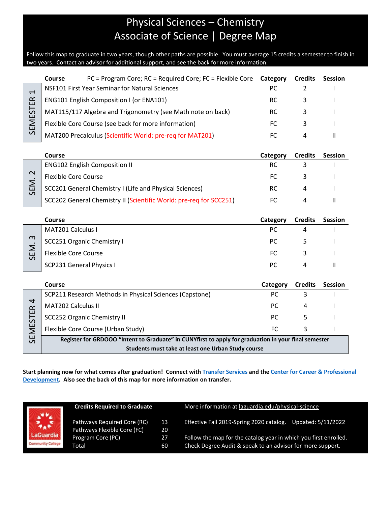## Physical Sciences – Chemistry Associate of Science | Degree Map

Follow this map to graduate in two years, though other paths are possible. You must average 15 credits a semester to finish in two years. Contact an advisor for additional support, and see the back for more information.

|                          | Course | PC = Program Core; RC = Required Core; FC = Flexible Core   | Category | <b>Credits</b> | <b>Session</b> |
|--------------------------|--------|-------------------------------------------------------------|----------|----------------|----------------|
| $\mathrel{\blacksquare}$ |        | NSF101 First Year Seminar for Natural Sciences              | PC.      |                |                |
| E                        |        | <b>ENG101 English Composition I (or ENA101)</b>             | RC.      |                |                |
| $\rm{S}$                 |        | MAT115/117 Algebra and Trigonometry (see Math note on back) | RC.      |                |                |
| $\mathsf{\Sigma}$        |        | Flexible Core Course (see back for more information)        | FC.      |                |                |
| $\sim$                   |        | MAT200 Precalculus (Scientific World: pre-req for MAT201)   | FC.      | 4              |                |

|        | Course                                                             | Category | <b>Credits</b> | <b>Session</b> |
|--------|--------------------------------------------------------------------|----------|----------------|----------------|
|        | <b>ENG102 English Composition II</b>                               |          |                |                |
| $\sim$ | <b>Flexible Core Course</b>                                        |          |                |                |
| ш      | SCC201 General Chemistry I (Life and Physical Sciences)            | RC.      |                |                |
|        | SCC202 General Chemistry II (Scientific World: pre-req for SCC251) |          |                |                |

|                                | <b>Course</b>               | Category | <b>Credits</b> | <b>Session</b> |
|--------------------------------|-----------------------------|----------|----------------|----------------|
| $\infty$<br>Ш<br>$\mathcal{L}$ | <b>MAT201 Calculus I</b>    | РC       |                |                |
|                                | SCC251 Organic Chemistry I  | РC       |                |                |
|                                | <b>Flexible Core Course</b> | FC       |                |                |
|                                | SCP231 General Physics I    | РC       | Д              |                |

|                               | Course                                                                                               | Category  | <b>Credits</b> | <b>Session</b> |  |  |
|-------------------------------|------------------------------------------------------------------------------------------------------|-----------|----------------|----------------|--|--|
|                               | SCP211 Research Methods in Physical Sciences (Capstone)                                              | РC        |                |                |  |  |
| 4<br>$\alpha$                 | <b>MAT202 Calculus II</b>                                                                            | <b>PC</b> | 4              |                |  |  |
| ш<br>55                       | SCC252 Organic Chemistry II                                                                          | <b>PC</b> |                |                |  |  |
| ய<br>$\overline{\phantom{0}}$ | Flexible Core Course (Urban Study)                                                                   | FC.       |                |                |  |  |
| ш<br>$\Omega$                 | Register for GRDOOO "Intent to Graduate" in CUNYfirst to apply for graduation in your final semester |           |                |                |  |  |
|                               | Students must take at least one Urban Study course                                                   |           |                |                |  |  |

**Start planning now for what comes after graduation! Connect with [Transfer Services](https://www.laguardia.edu/transferservices/) and the [Center for Career & Professional](https://www.laguardia.edu/careerservices/)  [Development.](https://www.laguardia.edu/careerservices/) Also see the back of this map for more information on transfer.**

| <b>Credits Required to Graduate</b> |                                                                                 | More information at laguardia.edu/physical-science                                                                             |                    |  |
|-------------------------------------|---------------------------------------------------------------------------------|--------------------------------------------------------------------------------------------------------------------------------|--------------------|--|
|                                     | 13<br>20                                                                        | Effective Fall 2019-Spring 2020 catalog.                                                                                       | Updated: 5/11/2022 |  |
|                                     | 27<br>60                                                                        | Follow the map for the catalog year in which you first enrolled.<br>Check Degree Audit & speak to an advisor for more support. |                    |  |
|                                     | Pathways Required Core (RC)<br>Pathways Flexible Core (FC)<br>Program Core (PC) |                                                                                                                                |                    |  |